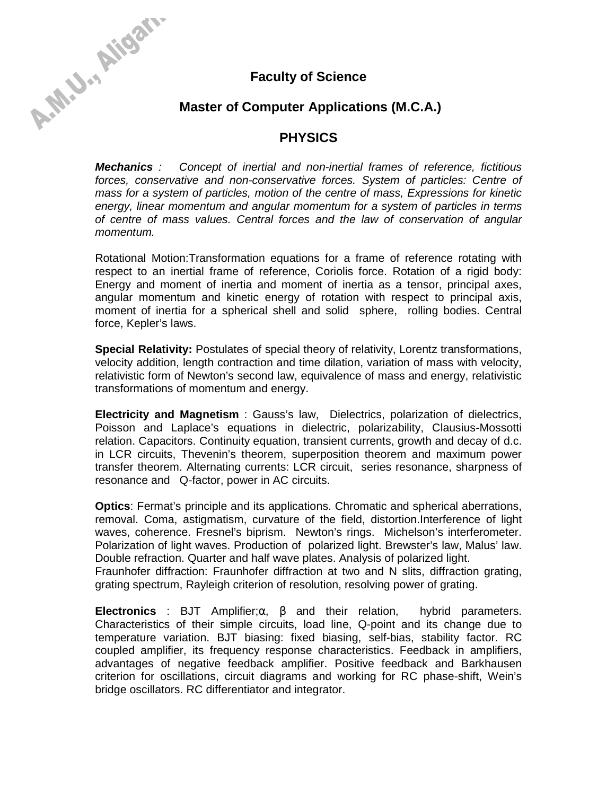

A-M. J., Aigan

# **Master of Computer Applications (M.C.A.)**

## **PHYSICS**

*Mechanics : Concept of inertial and non-inertial frames of reference, fictitious forces, conservative and non-conservative forces. System of particles: Centre of mass for a system of particles, motion of the centre of mass, Expressions for kinetic energy, linear momentum and angular momentum for a system of particles in terms of centre of mass values. Central forces and the law of conservation of angular momentum.* 

Rotational Motion:Transformation equations for a frame of reference rotating with respect to an inertial frame of reference, Coriolis force. Rotation of a rigid body: Energy and moment of inertia and moment of inertia as a tensor, principal axes, angular momentum and kinetic energy of rotation with respect to principal axis, moment of inertia for a spherical shell and solid sphere, rolling bodies. Central force, Kepler's laws.

**Special Relativity:** Postulates of special theory of relativity, Lorentz transformations, velocity addition, length contraction and time dilation, variation of mass with velocity, relativistic form of Newton's second law, equivalence of mass and energy, relativistic transformations of momentum and energy.

**Electricity and Magnetism** : Gauss's law, Dielectrics, polarization of dielectrics, Poisson and Laplace's equations in dielectric, polarizability, Clausius-Mossotti relation. Capacitors. Continuity equation, transient currents, growth and decay of d.c. in LCR circuits, Thevenin's theorem, superposition theorem and maximum power transfer theorem. Alternating currents: LCR circuit, series resonance, sharpness of resonance and Q-factor, power in AC circuits.

**Optics**: Fermat's principle and its applications. Chromatic and spherical aberrations, removal. Coma, astigmatism, curvature of the field, distortion.Interference of light waves, coherence. Fresnel's biprism. Newton's rings. Michelson's interferometer. Polarization of light waves. Production of polarized light. Brewster's law, Malus' law. Double refraction. Quarter and half wave plates. Analysis of polarized light.

Fraunhofer diffraction: Fraunhofer diffraction at two and N slits, diffraction grating, grating spectrum, Rayleigh criterion of resolution, resolving power of grating.

**Electronics** : BJT Amplifier;α, β and their relation, hybrid parameters. Characteristics of their simple circuits, load line, Q-point and its change due to temperature variation. BJT biasing: fixed biasing, self-bias, stability factor. RC coupled amplifier, its frequency response characteristics. Feedback in amplifiers, advantages of negative feedback amplifier. Positive feedback and Barkhausen criterion for oscillations, circuit diagrams and working for RC phase-shift, Wein's bridge oscillators. RC differentiator and integrator.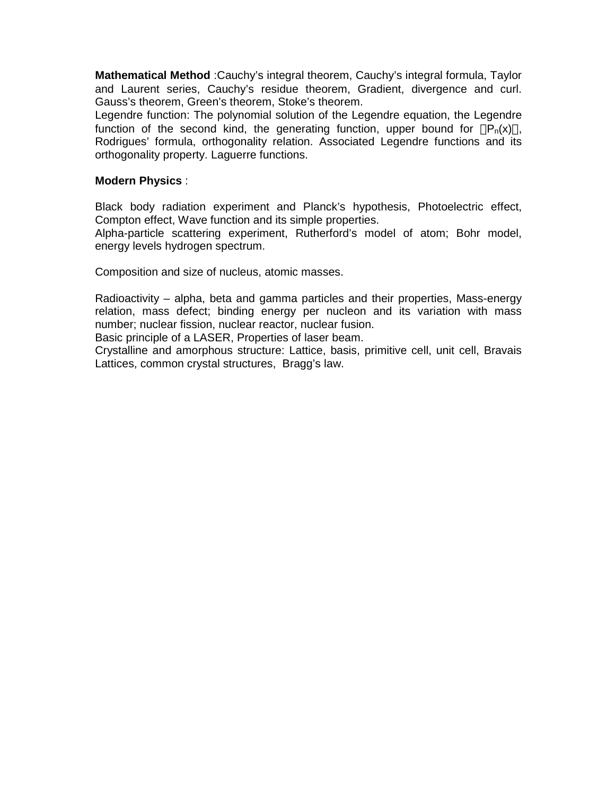**Mathematical Method** :Cauchy's integral theorem, Cauchy's integral formula, Taylor and Laurent series, Cauchy's residue theorem, Gradient, divergence and curl. Gauss's theorem, Green's theorem, Stoke's theorem.

Legendre function: The polynomial solution of the Legendre equation, the Legendre function of the second kind, the generating function, upper bound for  $|P_n(x)|$ , Rodrigues' formula, orthogonality relation. Associated Legendre functions and its orthogonality property. Laguerre functions.

#### **Modern Physics** :

Black body radiation experiment and Planck's hypothesis, Photoelectric effect, Compton effect, Wave function and its simple properties.

Alpha-particle scattering experiment, Rutherford's model of atom; Bohr model, energy levels hydrogen spectrum.

Composition and size of nucleus, atomic masses.

Radioactivity – alpha, beta and gamma particles and their properties, Mass-energy relation, mass defect; binding energy per nucleon and its variation with mass number; nuclear fission, nuclear reactor, nuclear fusion.

Basic principle of a LASER, Properties of laser beam.

Crystalline and amorphous structure: Lattice, basis, primitive cell, unit cell, Bravais Lattices, common crystal structures, Bragg's law.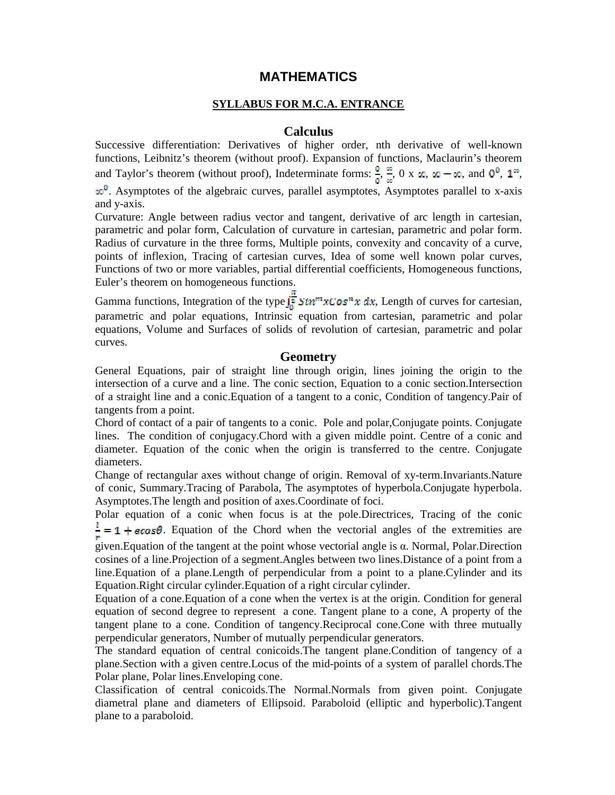## **MATHEMATICS**

### **SYLLABUS FOR M.C.A. ENTRANCE**

#### **Calculus**

Successive differentiation: Derivatives of higher order, nth derivative of well-known functions, Leibnitz's theorem (without proof). Expansion of functions, Maclaurin's theorem and Taylor's theorem (without proof), Indeterminate forms:  $\frac{0}{\rho}$ ,  $\frac{\infty}{\infty}$ , 0 x  $\infty$ ,  $\infty$  – $\infty$ , and  $0^0$ ,  $1^{\infty}$ ,  $\omega^0$ . Asymptotes of the algebraic curves, parallel asymptotes, Asymptotes parallel to x-axis and y-axis.

Curvature: Angle between radius vector and tangent, derivative of arc length in cartesian, parametric and polar form, Calculation of curvature in cartesian, parametric and polar form. Radius of curvature in the three forms, Multiple points, convexity and concavity of a curve, points of inflexion, Tracing of cartesian curves, Idea of some well known polar curves, Functions of two or more variables, partial differential coefficients, Homogeneous functions, Euler's theorem on homogeneous functions.

Gamma functions, Integration of the type  $\int_{a}^{\pi} \sin^{m} x \cos^{n} x \, dx$ , Length of curves for cartesian, parametric and polar equations, Intrinsic equation from cartesian, parametric and polar equations, Volume and Surfaces of solids of revolution of cartesian, parametric and polar curves.

#### **Geometry**

General Equations, pair of straight line through origin, lines joining the origin to the intersection of a curve and a line. The conic section, Equation to a conic section.Intersection of a straight line and a conic.Equation of a tangent to a conic, Condition of tangency.Pair of tangents from a point.

Chord of contact of a pair of tangents to a conic. Pole and polar,Conjugate points. Conjugate lines. The condition of conjugacy.Chord with a given middle point. Centre of a conic and diameter. Equation of the conic when the origin is transferred to the centre. Conjugate diameters.

Change of rectangular axes without change of origin. Removal of xy-term.Invariants.Nature of conic, Summary.Tracing of Parabola, The asymptotes of hyperbola.Conjugate hyperbola. Asymptotes.The length and position of axes.Coordinate of foci.

Polar equation of a conic when focus is at the pole.Directrices, Tracing of the conic  $\frac{1}{r}$  = 1 + ecos $\theta$ . Equation of the Chord when the vectorial angles of the extremities are

given.Equation of the tangent at the point whose vectorial angle is α. Normal, Polar.Direction cosines of a line.Projection of a segment.Angles between two lines.Distance of a point from a line.Equation of a plane.Length of perpendicular from a point to a plane.Cylinder and its Equation.Right circular cylinder.Equation of a right circular cylinder.

Equation of a cone.Equation of a cone when the vertex is at the origin. Condition for general equation of second degree to represent a cone. Tangent plane to a cone, A property of the tangent plane to a cone. Condition of tangency.Reciprocal cone.Cone with three mutually perpendicular generators, Number of mutually perpendicular generators.

The standard equation of central conicoids.The tangent plane.Condition of tangency of a plane.Section with a given centre.Locus of the mid-points of a system of parallel chords.The Polar plane, Polar lines.Enveloping cone.

Classification of central conicoids.The Normal.Normals from given point. Conjugate diametral plane and diameters of Ellipsoid. Paraboloid (elliptic and hyperbolic).Tangent plane to a paraboloid.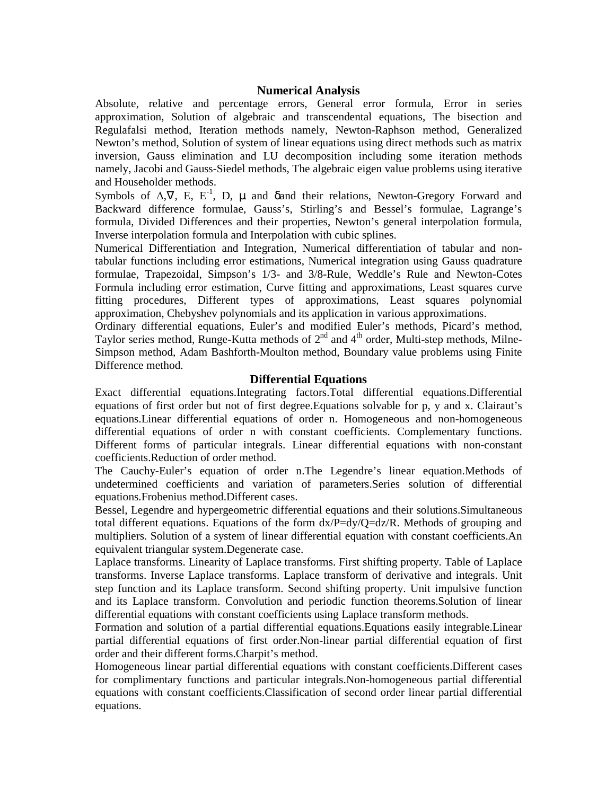#### **Numerical Analysis**

Absolute, relative and percentage errors, General error formula, Error in series approximation, Solution of algebraic and transcendental equations, The bisection and Regulafalsi method, Iteration methods namely, Newton-Raphson method, Generalized Newton's method, Solution of system of linear equations using direct methods such as matrix inversion, Gauss elimination and LU decomposition including some iteration methods namely, Jacobi and Gauss-Siedel methods, The algebraic eigen value problems using iterative and Householder methods.

Symbols of  $\Delta$ ,  $\nabla$ , E, E<sup>-1</sup>, D,  $\mu$  and  $\delta$  and their relations, Newton-Gregory Forward and Backward difference formulae, Gauss's, Stirling's and Bessel's formulae, Lagrange's formula, Divided Differences and their properties, Newton's general interpolation formula, Inverse interpolation formula and Interpolation with cubic splines.

Numerical Differentiation and Integration, Numerical differentiation of tabular and nontabular functions including error estimations, Numerical integration using Gauss quadrature formulae, Trapezoidal, Simpson's 1/3- and 3/8-Rule, Weddle's Rule and Newton-Cotes Formula including error estimation, Curve fitting and approximations, Least squares curve fitting procedures, Different types of approximations, Least squares polynomial approximation, Chebyshev polynomials and its application in various approximations.

Ordinary differential equations, Euler's and modified Euler's methods, Picard's method, Taylor series method, Runge-Kutta methods of 2<sup>nd</sup> and 4<sup>th</sup> order, Multi-step methods, Milne-Simpson method, Adam Bashforth-Moulton method, Boundary value problems using Finite Difference method.

#### **Differential Equations**

Exact differential equations.Integrating factors.Total differential equations.Differential equations of first order but not of first degree.Equations solvable for p, y and x. Clairaut's equations.Linear differential equations of order n. Homogeneous and non-homogeneous differential equations of order n with constant coefficients. Complementary functions. Different forms of particular integrals. Linear differential equations with non-constant coefficients.Reduction of order method.

The Cauchy-Euler's equation of order n.The Legendre's linear equation.Methods of undetermined coefficients and variation of parameters.Series solution of differential equations.Frobenius method.Different cases.

Bessel, Legendre and hypergeometric differential equations and their solutions.Simultaneous total different equations. Equations of the form  $dx/P=dy/Q=dz/R$ . Methods of grouping and multipliers. Solution of a system of linear differential equation with constant coefficients.An equivalent triangular system.Degenerate case.

Laplace transforms. Linearity of Laplace transforms. First shifting property. Table of Laplace transforms. Inverse Laplace transforms. Laplace transform of derivative and integrals. Unit step function and its Laplace transform. Second shifting property. Unit impulsive function and its Laplace transform. Convolution and periodic function theorems.Solution of linear differential equations with constant coefficients using Laplace transform methods.

Formation and solution of a partial differential equations.Equations easily integrable.Linear partial differential equations of first order.Non-linear partial differential equation of first order and their different forms.Charpit's method.

Homogeneous linear partial differential equations with constant coefficients.Different cases for complimentary functions and particular integrals.Non-homogeneous partial differential equations with constant coefficients.Classification of second order linear partial differential equations.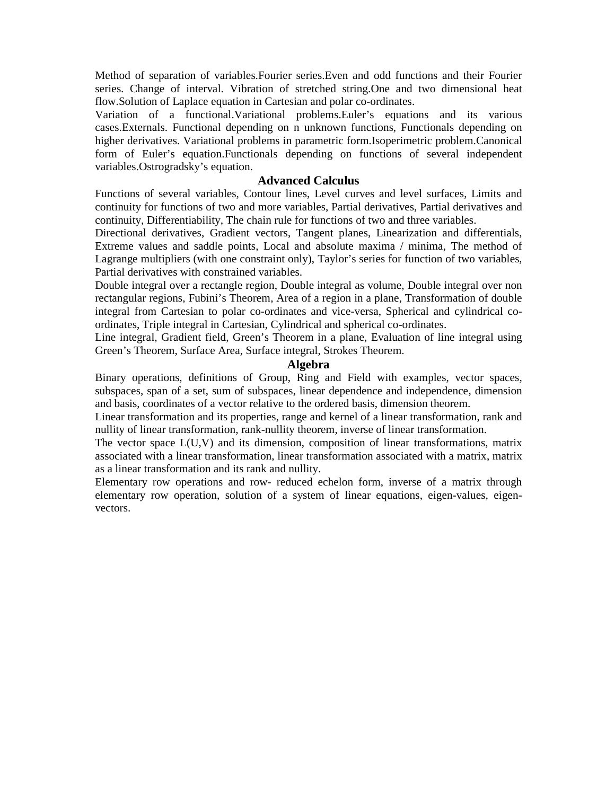Method of separation of variables.Fourier series.Even and odd functions and their Fourier series. Change of interval. Vibration of stretched string.One and two dimensional heat flow.Solution of Laplace equation in Cartesian and polar co-ordinates.

Variation of a functional.Variational problems.Euler's equations and its various cases.Externals. Functional depending on n unknown functions, Functionals depending on higher derivatives. Variational problems in parametric form.Isoperimetric problem.Canonical form of Euler's equation.Functionals depending on functions of several independent variables.Ostrogradsky's equation.

#### **Advanced Calculus**

Functions of several variables, Contour lines, Level curves and level surfaces, Limits and continuity for functions of two and more variables, Partial derivatives, Partial derivatives and continuity, Differentiability, The chain rule for functions of two and three variables.

Directional derivatives, Gradient vectors, Tangent planes, Linearization and differentials, Extreme values and saddle points, Local and absolute maxima / minima, The method of Lagrange multipliers (with one constraint only), Taylor's series for function of two variables, Partial derivatives with constrained variables.

Double integral over a rectangle region, Double integral as volume, Double integral over non rectangular regions, Fubini's Theorem, Area of a region in a plane, Transformation of double integral from Cartesian to polar co-ordinates and vice-versa, Spherical and cylindrical coordinates, Triple integral in Cartesian, Cylindrical and spherical co-ordinates.

Line integral, Gradient field, Green's Theorem in a plane, Evaluation of line integral using Green's Theorem, Surface Area, Surface integral, Strokes Theorem.

#### **Algebra**

Binary operations, definitions of Group, Ring and Field with examples, vector spaces, subspaces, span of a set, sum of subspaces, linear dependence and independence, dimension and basis, coordinates of a vector relative to the ordered basis, dimension theorem.

Linear transformation and its properties, range and kernel of a linear transformation, rank and nullity of linear transformation, rank-nullity theorem, inverse of linear transformation.

The vector space L(U,V) and its dimension, composition of linear transformations, matrix associated with a linear transformation, linear transformation associated with a matrix, matrix as a linear transformation and its rank and nullity.

Elementary row operations and row- reduced echelon form, inverse of a matrix through elementary row operation, solution of a system of linear equations, eigen-values, eigenvectors.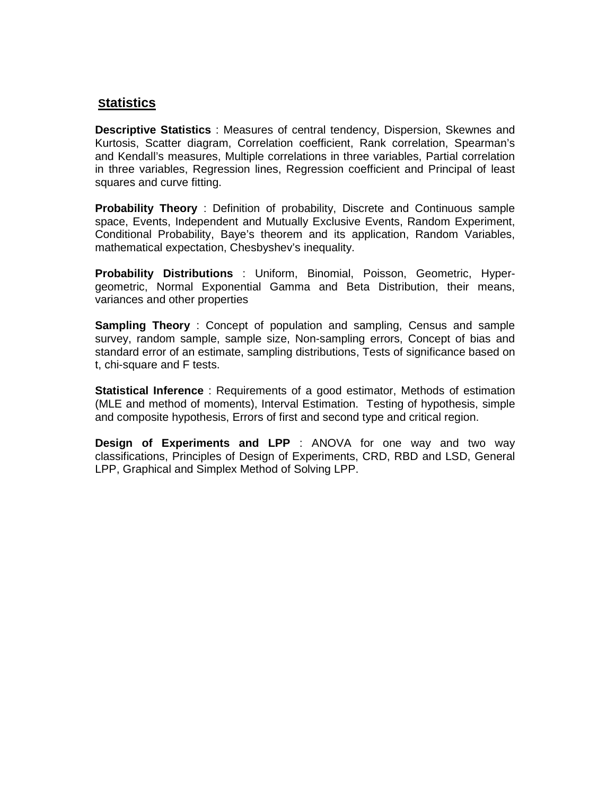## **Statistics**

**Descriptive Statistics** : Measures of central tendency, Dispersion, Skewnes and Kurtosis, Scatter diagram, Correlation coefficient, Rank correlation, Spearman's and Kendall's measures, Multiple correlations in three variables, Partial correlation in three variables, Regression lines, Regression coefficient and Principal of least squares and curve fitting.

**Probability Theory** : Definition of probability, Discrete and Continuous sample space, Events, Independent and Mutually Exclusive Events, Random Experiment, Conditional Probability, Baye's theorem and its application, Random Variables, mathematical expectation, Chesbyshev's inequality.

**Probability Distributions** : Uniform, Binomial, Poisson, Geometric, Hypergeometric, Normal Exponential Gamma and Beta Distribution, their means, variances and other properties

**Sampling Theory** : Concept of population and sampling, Census and sample survey, random sample, sample size, Non-sampling errors, Concept of bias and standard error of an estimate, sampling distributions, Tests of significance based on t, chi-square and F tests.

**Statistical Inference** : Requirements of a good estimator, Methods of estimation (MLE and method of moments), Interval Estimation. Testing of hypothesis, simple and composite hypothesis, Errors of first and second type and critical region.

**Design of Experiments and LPP** : ANOVA for one way and two way classifications, Principles of Design of Experiments, CRD, RBD and LSD, General LPP, Graphical and Simplex Method of Solving LPP.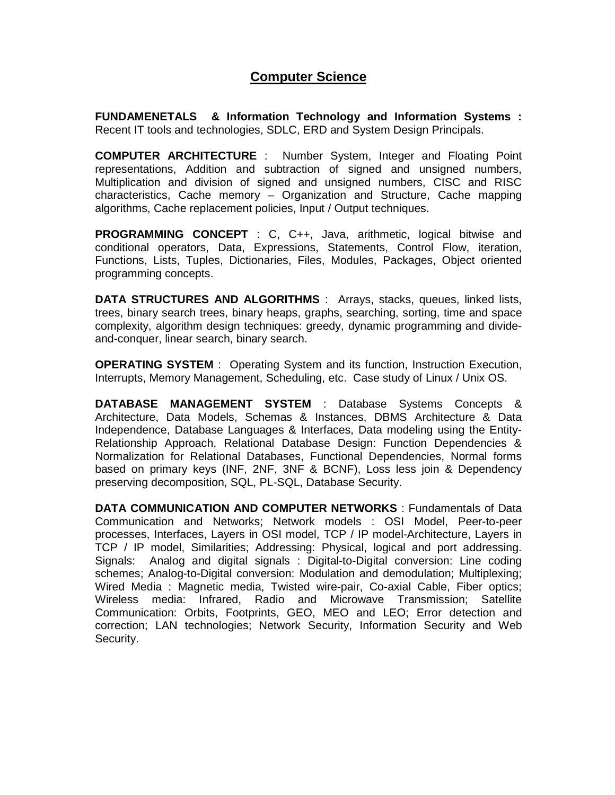## **Computer Science**

**FUNDAMENETALS & Information Technology and Information Systems :**  Recent IT tools and technologies, SDLC, ERD and System Design Principals.

**COMPUTER ARCHITECTURE** : Number System, Integer and Floating Point representations, Addition and subtraction of signed and unsigned numbers, Multiplication and division of signed and unsigned numbers, CISC and RISC characteristics, Cache memory – Organization and Structure, Cache mapping algorithms, Cache replacement policies, Input / Output techniques.

**PROGRAMMING CONCEPT** : C, C++, Java, arithmetic, logical bitwise and conditional operators, Data, Expressions, Statements, Control Flow, iteration, Functions, Lists, Tuples, Dictionaries, Files, Modules, Packages, Object oriented programming concepts.

**DATA STRUCTURES AND ALGORITHMS** : Arrays, stacks, queues, linked lists, trees, binary search trees, binary heaps, graphs, searching, sorting, time and space complexity, algorithm design techniques: greedy, dynamic programming and divideand-conquer, linear search, binary search.

**OPERATING SYSTEM** : Operating System and its function, Instruction Execution, Interrupts, Memory Management, Scheduling, etc. Case study of Linux / Unix OS.

**DATABASE MANAGEMENT SYSTEM** : Database Systems Concepts & Architecture, Data Models, Schemas & Instances, DBMS Architecture & Data Independence, Database Languages & Interfaces, Data modeling using the Entity-Relationship Approach, Relational Database Design: Function Dependencies & Normalization for Relational Databases, Functional Dependencies, Normal forms based on primary keys (INF, 2NF, 3NF & BCNF), Loss less join & Dependency preserving decomposition, SQL, PL-SQL, Database Security.

**DATA COMMUNICATION AND COMPUTER NETWORKS** : Fundamentals of Data Communication and Networks; Network models : OSI Model, Peer-to-peer processes, Interfaces, Layers in OSI model, TCP / IP model-Architecture, Layers in TCP / IP model, Similarities; Addressing: Physical, logical and port addressing. Signals: Analog and digital signals : Digital-to-Digital conversion: Line coding schemes; Analog-to-Digital conversion: Modulation and demodulation; Multiplexing; Wired Media : Magnetic media, Twisted wire-pair, Co-axial Cable, Fiber optics; Wireless media: Infrared, Radio and Microwave Transmission; Satellite Communication: Orbits, Footprints, GEO, MEO and LEO; Error detection and correction; LAN technologies; Network Security, Information Security and Web Security.